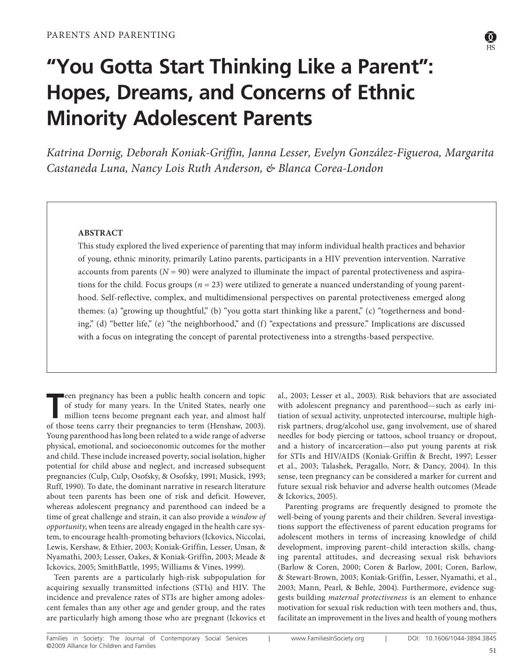# **"You Gotta Start Thinking Like a Parent": Hopes, Dreams, and Concerns of Ethnic Minority Adolescent Parents**

*Katrina Dornig, Deborah Koniak-Griffin, Janna Lesser, Evelyn González-Figueroa, Margarita Castaneda Luna, Nancy Lois Ruth Anderson, & Blanca Corea-London*

## **ABSTRACT**

This study explored the lived experience of parenting that may inform individual health practices and behavior of young, ethnic minority, primarily Latino parents, participants in a HIV prevention intervention. Narrative accounts from parents  $(N = 90)$  were analyzed to illuminate the impact of parental protectiveness and aspirations for the child. Focus groups (*n* = 23) were utilized to generate a nuanced understanding of young parenthood. Self-reflective, complex, and multidimensional perspectives on parental protectiveness emerged along themes: (a) "growing up thoughtful," (b) "you gotta start thinking like a parent," (c) "togetherness and bonding," (d) "better life," (e) "the neighborhood," and (f) "expectations and pressure." Implications are discussed with a focus on integrating the concept of parental protectiveness into a strengths-based perspective.

**The Equal Equal to the Second vertice of study for many years. In the United States, nearly one million teens become pregnant each year, and almost half of those teens carry their pregnancies to term (Henshaw, 2003).** een pregnancy has been a public health concern and topic of study for many years. In the United States, nearly one million teens become pregnant each year, and almost half Young parenthood has long been related to a wide range of adverse physical, emotional, and socioeconomic outcomes for the mother and child. These include increased poverty, social isolation, higher potential for child abuse and neglect, and increased subsequent pregnancies (Culp, Culp, Osofsky, & Osofsky, 1991; Musick, 1993; Ruff, 1990). To date, the dominant narrative in research literature about teen parents has been one of risk and deficit. However, whereas adolescent pregnancy and parenthood can indeed be a time of great challenge and strain, it can also provide a *window of opportunity*, when teens are already engaged in the health care system, to encourage health-promoting behaviors (Ickovics, Niccolai, Lewis, Kershaw, & Ethier, 2003; Koniak-Griffin, Lesser, Uman, & Nyamathi, 2003; Lesser, Oakes, & Koniak-Griffin, 2003; Meade & Ickovics, 2005; SmithBattle, 1995; Williams & Vines, 1999).

Teen parents are a particularly high-risk subpopulation for acquiring sexually transmitted infections (STIs) and HIV. The incidence and prevalence rates of STIs are higher among adolescent females than any other age and gender group, and the rates are particularly high among those who are pregnant (Ickovics et al., 2003; Lesser et al., 2003). Risk behaviors that are associated with adolescent pregnancy and parenthood—such as early initiation of sexual activity, unprotected intercourse, multiple highrisk partners, drug/alcohol use, gang involvement, use of shared needles for body piercing or tattoos, school truancy or dropout, and a history of incarceration—also put young parents at risk for STIs and HIV/AIDS (Koniak-Griffin & Brecht, 1997; Lesser et al., 2003; Talashek, Peragallo, Norr, & Dancy, 2004). In this sense, teen pregnancy can be considered a marker for current and future sexual risk behavior and adverse health outcomes (Meade & Ickovics, 2005).

Parenting programs are frequently designed to promote the well-being of young parents and their children. Several investigations support the effectiveness of parent education programs for adolescent mothers in terms of increasing knowledge of child development, improving parent–child interaction skills, changing parental attitudes, and decreasing sexual risk behaviors (Barlow & Coren, 2000; Coren & Barlow, 2001; Coren, Barlow, & Stewart-Brown, 2003; Koniak-Griffin, Lesser, Nyamathi, et al., 2003; Mann, Pearl, & Behle, 2004). Furthermore, evidence suggests building *maternal protectiveness* is an element to enhance motivation for sexual risk reduction with teen mothers and, thus, facilitate an improvement in the lives and health of young mothers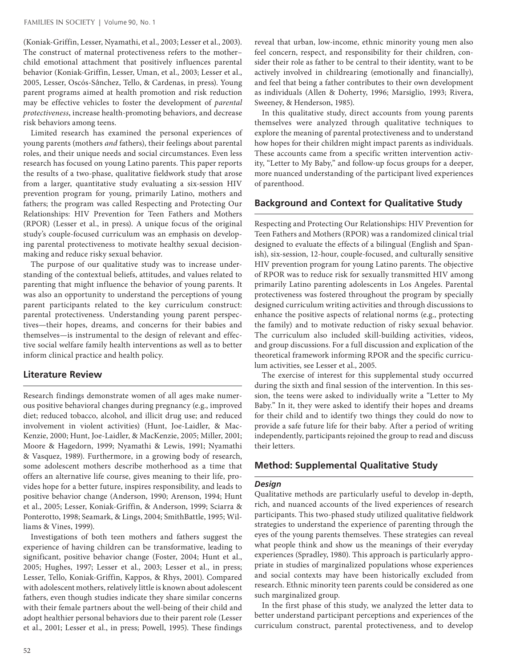(Koniak-Griffin, Lesser, Nyamathi, et al., 2003; Lesser et al., 2003). The construct of maternal protectiveness refers to the mother– child emotional attachment that positively influences parental behavior (Koniak-Griffin, Lesser, Uman, et al., 2003; Lesser et al., 2005, Lesser, Oscós-Sánchez, Tello, & Cardenas, in press). Young parent programs aimed at health promotion and risk reduction may be effective vehicles to foster the development of *parental protectiveness*, increase health-promoting behaviors, and decrease risk behaviors among teens.

Limited research has examined the personal experiences of young parents (mothers *and* fathers), their feelings about parental roles, and their unique needs and social circumstances. Even less research has focused on young Latino parents. This paper reports the results of a two-phase, qualitative fieldwork study that arose from a larger, quantitative study evaluating a six-session HIV prevention program for young, primarily Latino, mothers and fathers; the program was called Respecting and Protecting Our Relationships: HIV Prevention for Teen Fathers and Mothers (RPOR) (Lesser et al., in press). A unique focus of the original study's couple-focused curriculum was an emphasis on developing parental protectiveness to motivate healthy sexual decisionmaking and reduce risky sexual behavior.

The purpose of our qualitative study was to increase understanding of the contextual beliefs, attitudes, and values related to parenting that might influence the behavior of young parents. It was also an opportunity to understand the perceptions of young parent participants related to the key curriculum construct: parental protectiveness. Understanding young parent perspectives—their hopes, dreams, and concerns for their babies and themselves—is instrumental to the design of relevant and effective social welfare family health interventions as well as to better inform clinical practice and health policy.

## **Literature Review**

Research findings demonstrate women of all ages make numerous positive behavioral changes during pregnancy (e.g., improved diet; reduced tobacco, alcohol, and illicit drug use; and reduced involvement in violent activities) (Hunt, Joe-Laidler, & Mac-Kenzie, 2000; Hunt, Joe-Laidler, & MacKenzie, 2005; Miller, 2001; Moore & Hagedorn, 1999; Nyamathi & Lewis, 1991; Nyamathi & Vasquez, 1989). Furthermore, in a growing body of research, some adolescent mothers describe motherhood as a time that offers an alternative life course, gives meaning to their life, provides hope for a better future, inspires responsibility, and leads to positive behavior change (Anderson, 1990; Arenson, 1994; Hunt et al., 2005; Lesser, Koniak-Griffin, & Anderson, 1999; Sciarra & Ponterotto, 1998; Seamark, & Lings, 2004; SmithBattle, 1995; Williams & Vines, 1999).

Investigations of both teen mothers and fathers suggest the experience of having children can be transformative, leading to significant, positive behavior change (Foster, 2004; Hunt et al., 2005; Hughes, 1997; Lesser et al., 2003; Lesser et al., in press; Lesser, Tello, Koniak-Griffin, Kappos, & Rhys, 2001). Compared with adolescent mothers, relatively little is known about adolescent fathers, even though studies indicate they share similar concerns with their female partners about the well-being of their child and adopt healthier personal behaviors due to their parent role (Lesser et al., 2001; Lesser et al., in press; Powell, 1995). These findings

reveal that urban, low-income, ethnic minority young men also feel concern, respect, and responsibility for their children, consider their role as father to be central to their identity, want to be actively involved in childrearing (emotionally and financially), and feel that being a father contributes to their own development as individuals (Allen & Doherty, 1996; Marsiglio, 1993; Rivera, Sweeney, & Henderson, 1985).

In this qualitative study, direct accounts from young parents themselves were analyzed through qualitative techniques to explore the meaning of parental protectiveness and to understand how hopes for their children might impact parents as individuals. These accounts came from a specific written intervention activity, "Letter to My Baby," and follow-up focus groups for a deeper, more nuanced understanding of the participant lived experiences of parenthood.

## **Background and Context for Qualitative Study**

Respecting and Protecting Our Relationships: HIV Prevention for Teen Fathers and Mothers (RPOR) was a randomized clinical trial designed to evaluate the effects of a bilingual (English and Spanish), six-session, 12-hour, couple-focused, and culturally sensitive HIV prevention program for young Latino parents. The objective of RPOR was to reduce risk for sexually transmitted HIV among primarily Latino parenting adolescents in Los Angeles. Parental protectiveness was fostered throughout the program by specially designed curriculum writing activities and through discussions to enhance the positive aspects of relational norms (e.g., protecting the family) and to motivate reduction of risky sexual behavior. The curriculum also included skill-building activities, videos, and group discussions. For a full discussion and explication of the theoretical framework informing RPOR and the specific curriculum activities, see Lesser et al., 2005.

The exercise of interest for this supplemental study occurred during the sixth and final session of the intervention. In this session, the teens were asked to individually write a "Letter to My Baby." In it, they were asked to identify their hopes and dreams for their child and to identify two things they could do now to provide a safe future life for their baby. After a period of writing independently, participants rejoined the group to read and discuss their letters.

## **Method: Supplemental Qualitative Study**

#### *Design*

Qualitative methods are particularly useful to develop in-depth, rich, and nuanced accounts of the lived experiences of research participants. This two-phased study utilized qualitative fieldwork strategies to understand the experience of parenting through the eyes of the young parents themselves. These strategies can reveal what people think and show us the meanings of their everyday experiences (Spradley, 1980). This approach is particularly appropriate in studies of marginalized populations whose experiences and social contexts may have been historically excluded from research. Ethnic minority teen parents could be considered as one such marginalized group.

In the first phase of this study, we analyzed the letter data to better understand participant perceptions and experiences of the curriculum construct, parental protectiveness, and to develop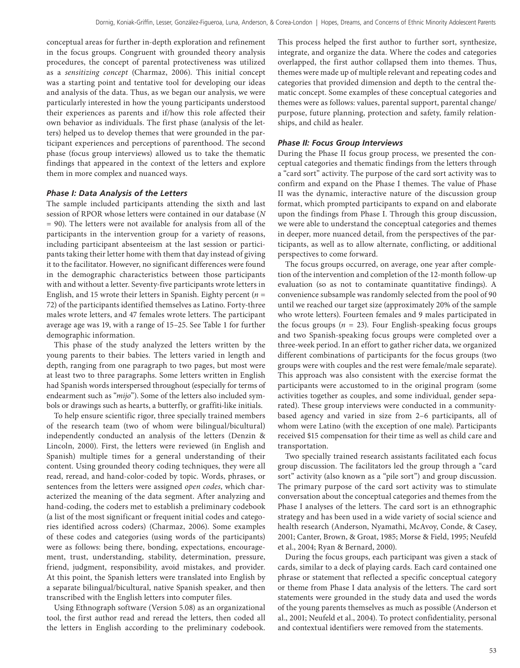conceptual areas for further in-depth exploration and refinement in the focus groups. Congruent with grounded theory analysis procedures, the concept of parental protectiveness was utilized as a *sensitizing concept* (Charmaz, 2006). This initial concept was a starting point and tentative tool for developing our ideas and analysis of the data. Thus, as we began our analysis, we were particularly interested in how the young participants understood their experiences as parents and if/how this role affected their own behavior as individuals. The first phase (analysis of the letters) helped us to develop themes that were grounded in the participant experiences and perceptions of parenthood. The second phase (focus group interviews) allowed us to take the thematic findings that appeared in the context of the letters and explore them in more complex and nuanced ways.

#### *Phase I: Data Analysis of the Letters*

The sample included participants attending the sixth and last session of RPOR whose letters were contained in our database (*N* = 90). The letters were not available for analysis from all of the participants in the intervention group for a variety of reasons, including participant absenteeism at the last session or participants taking their letter home with them that day instead of giving it to the facilitator. However, no significant differences were found in the demographic characteristics between those participants with and without a letter. Seventy-five participants wrote letters in English, and 15 wrote their letters in Spanish. Eighty percent (*n* = 72) of the participants identified themselves as Latino. Forty-three males wrote letters, and 47 females wrote letters. The participant average age was 19, with a range of 15–25. See Table 1 for further demographic information.

This phase of the study analyzed the letters written by the young parents to their babies. The letters varied in length and depth, ranging from one paragraph to two pages, but most were at least two to three paragraphs. Some letters written in English had Spanish words interspersed throughout (especially for terms of endearment such as "*mijo*"). Some of the letters also included symbols or drawings such as hearts, a butterfly, or graffiti-like initials.

To help ensure scientific rigor, three specially trained members of the research team (two of whom were bilingual/bicultural) independently conducted an analysis of the letters (Denzin & Lincoln, 2000). First, the letters were reviewed (in English and Spanish) multiple times for a general understanding of their content. Using grounded theory coding techniques, they were all read, reread, and hand-color-coded by topic. Words, phrases, or sentences from the letters were assigned *open codes*, which characterized the meaning of the data segment. After analyzing and hand-coding, the coders met to establish a preliminary codebook (a list of the most significant or frequent initial codes and categories identified across coders) (Charmaz, 2006). Some examples of these codes and categories (using words of the participants) were as follows: being there, bonding, expectations, encouragement, trust, understanding, stability, determination, pressure, friend, judgment, responsibility, avoid mistakes, and provider. At this point, the Spanish letters were translated into English by a separate bilingual/bicultural, native Spanish speaker, and then transcribed with the English letters into computer files.

Using Ethnograph software (Version 5.08) as an organizational tool, the first author read and reread the letters, then coded all the letters in English according to the preliminary codebook.

This process helped the first author to further sort, synthesize, integrate, and organize the data. Where the codes and categories overlapped, the first author collapsed them into themes. Thus, themes were made up of multiple relevant and repeating codes and categories that provided dimension and depth to the central thematic concept. Some examples of these conceptual categories and themes were as follows: values, parental support, parental change/ purpose, future planning, protection and safety, family relationships, and child as healer.

#### *Phase II: Focus Group Interviews*

During the Phase II focus group process, we presented the conceptual categories and thematic findings from the letters through a "card sort" activity. The purpose of the card sort activity was to confirm and expand on the Phase I themes. The value of Phase II was the dynamic, interactive nature of the discussion group format, which prompted participants to expand on and elaborate upon the findings from Phase I. Through this group discussion, we were able to understand the conceptual categories and themes in deeper, more nuanced detail, from the perspectives of the participants, as well as to allow alternate, conflicting, or additional perspectives to come forward.

The focus groups occurred, on average, one year after completion of the intervention and completion of the 12-month follow-up evaluation (so as not to contaminate quantitative findings). A convenience subsample was randomly selected from the pool of 90 until we reached our target size (approximately 20% of the sample who wrote letters). Fourteen females and 9 males participated in the focus groups  $(n = 23)$ . Four English-speaking focus groups and two Spanish-speaking focus groups were completed over a three-week period. In an effort to gather richer data, we organized different combinations of participants for the focus groups (two groups were with couples and the rest were female/male separate). This approach was also consistent with the exercise format the participants were accustomed to in the original program (some activities together as couples, and some individual, gender separated). These group interviews were conducted in a communitybased agency and varied in size from 2–6 participants, all of whom were Latino (with the exception of one male). Participants received \$15 compensation for their time as well as child care and transportation.

Two specially trained research assistants facilitated each focus group discussion. The facilitators led the group through a "card sort" activity (also known as a "pile sort") and group discussion. The primary purpose of the card sort activity was to stimulate conversation about the conceptual categories and themes from the Phase I analyses of the letters. The card sort is an ethnographic strategy and has been used in a wide variety of social science and health research (Anderson, Nyamathi, McAvoy, Conde, & Casey, 2001; Canter, Brown, & Groat, 1985; Morse & Field, 1995; Neufeld et al., 2004; Ryan & Bernard, 2000).

During the focus groups, each participant was given a stack of cards, similar to a deck of playing cards. Each card contained one phrase or statement that reflected a specific conceptual category or theme from Phase I data analysis of the letters. The card sort statements were grounded in the study data and used the words of the young parents themselves as much as possible (Anderson et al., 2001; Neufeld et al., 2004). To protect confidentiality, personal and contextual identifiers were removed from the statements.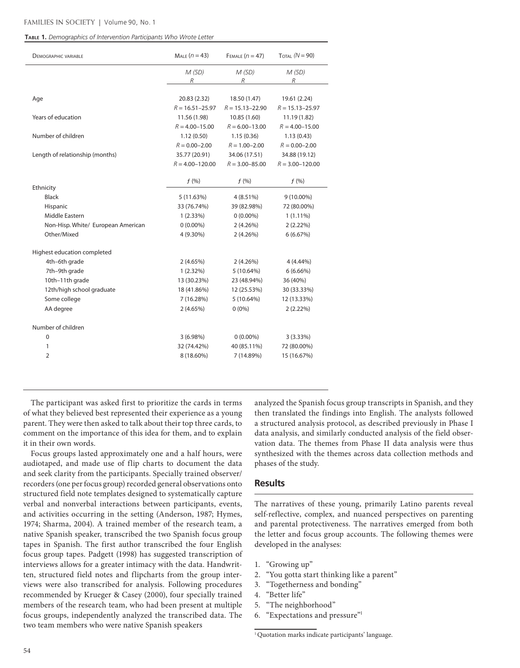#### **TABLE 1.** *Demographics of Intervention Participants Who Wrote Letter*

| <b>DEMOGRAPHIC VARIABLE</b>        | MALE $(n=43)$          | FEMALE $(n = 47)$      | TOTAL $(N = 90)$        |
|------------------------------------|------------------------|------------------------|-------------------------|
|                                    | M(SD)<br>$\mathcal{R}$ | M(SD)<br>$\mathcal{R}$ | M(SD)<br>$\overline{R}$ |
|                                    |                        |                        |                         |
| Age                                | 20.83 (2.32)           | 18.50 (1.47)           | 19.61 (2.24)            |
|                                    | $R = 16.51 - 25.97$    | $R = 15.13 - 22.90$    | $R = 15.13 - 25.97$     |
| Years of education                 | 11.56 (1.98)           | 10.85 (1.60)           | 11.19 (1.82)            |
|                                    | $R = 4.00 - 15.00$     | $R = 6.00 - 13.00$     | $R = 4.00 - 15.00$      |
| Number of children                 | 1.12(0.50)             | 1.15(0.36)             | 1.13(0.43)              |
|                                    | $R = 0.00 - 2.00$      | $R = 1.00 - 2.00$      | $R = 0.00 - 2.00$       |
| Length of relationship (months)    | 35.77 (20.91)          | 34.06 (17.51)          | 34.88 (19.12)           |
|                                    | $R = 4.00 - 120.00$    | $R = 3.00 - 85.00$     | $R = 3.00 - 120.00$     |
|                                    | f(%)                   | f(%)                   | f(%)                    |
| Ethnicity                          |                        |                        |                         |
| <b>Black</b>                       | 5(11.63%)              | $4(8.51\%)$            | 9 (10.00%)              |
| Hispanic                           | 33 (76.74%)            | 39 (82.98%)            | 72 (80.00%)             |
| Middle Eastern                     | $1(2.33\%)$            | $0(0.00\%)$            | $1(1.11\%)$             |
| Non-Hisp. White/ European American | $0(0.00\%)$            | 2(4.26%)               | 2(2.22%)                |
| Other/Mixed                        | 4 (9.30%)              | 2(4.26%)               | 6(6.67%)                |
| Highest education completed        |                        |                        |                         |
| 4th-6th grade                      | 2(4.65%)               | 2(4.26%)               | 4 (4.44%)               |
| 7th-9th grade                      | 1(2.32%)               | 5 (10.64%)             | 6(6.66%)                |
| 10th-11th grade                    | 13 (30.23%)            | 23 (48.94%)            | 36 (40%)                |
| 12th/high school graduate          | 18 (41.86%)            | 12 (25.53%)            | 30 (33.33%)             |
| Some college                       | 7 (16.28%)             | 5 (10.64%)             | 12 (13.33%)             |
| AA degree                          | 2(4.65%)               | $0(0\%)$               | $2(2.22\%)$             |
| Number of children                 |                        |                        |                         |
| 0                                  | 3(6.98%)               | $0(0.00\%)$            | 3(3.33%)                |
| 1                                  | 32 (74.42%)            | 40 (85.11%)            | 72 (80.00%)             |
| 2                                  | 8 (18.60%)             | 7 (14.89%)             | 15 (16.67%)             |

The participant was asked first to prioritize the cards in terms of what they believed best represented their experience as a young parent. They were then asked to talk about their top three cards, to comment on the importance of this idea for them, and to explain it in their own words.

Focus groups lasted approximately one and a half hours, were audiotaped, and made use of flip charts to document the data and seek clarity from the participants. Specially trained observer/ recorders (one per focus group) recorded general observations onto structured field note templates designed to systematically capture verbal and nonverbal interactions between participants, events, and activities occurring in the setting (Anderson, 1987; Hymes, 1974; Sharma, 2004). A trained member of the research team, a native Spanish speaker, transcribed the two Spanish focus group tapes in Spanish. The first author transcribed the four English focus group tapes. Padgett (1998) has suggested transcription of interviews allows for a greater intimacy with the data. Handwritten, structured field notes and flipcharts from the group interviews were also transcribed for analysis. Following procedures recommended by Krueger & Casey (2000), four specially trained members of the research team, who had been present at multiple focus groups, independently analyzed the transcribed data. The two team members who were native Spanish speakers

analyzed the Spanish focus group transcripts in Spanish, and they then translated the findings into English. The analysts followed a structured analysis protocol, as described previously in Phase I data analysis, and similarly conducted analysis of the field observation data. The themes from Phase II data analysis were thus synthesized with the themes across data collection methods and phases of the study.

#### **Results**

The narratives of these young, primarily Latino parents reveal self-reflective, complex, and nuanced perspectives on parenting and parental protectiveness. The narratives emerged from both the letter and focus group accounts. The following themes were developed in the analyses:

- 1. "Growing up"
- 2. "You gotta start thinking like a parent"
- 3. "Togetherness and bonding"
- 4. "Better life"
- 5. "The neighborhood"
- 6. "Expectations and pressure"<sup>1</sup>

<sup>1</sup> Quotation marks indicate participants' language.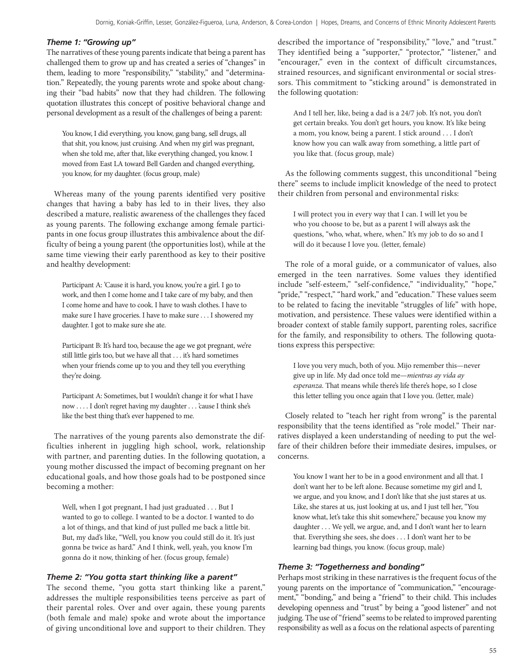#### *Theme 1: "Growing up"*

The narratives of these young parents indicate that being a parent has challenged them to grow up and has created a series of "changes" in them, leading to more "responsibility," "stability," and "determination." Repeatedly, the young parents wrote and spoke about changing their "bad habits" now that they had children. The following quotation illustrates this concept of positive behavioral change and personal development as a result of the challenges of being a parent:

You know, I did everything, you know, gang bang, sell drugs, all that shit, you know, just cruising. And when my girl was pregnant, when she told me, after that, like everything changed, you know. I moved from East LA toward Bell Garden and changed everything, you know, for my daughter. (focus group, male)

Whereas many of the young parents identified very positive changes that having a baby has led to in their lives, they also described a mature, realistic awareness of the challenges they faced as young parents. The following exchange among female participants in one focus group illustrates this ambivalence about the difficulty of being a young parent (the opportunities lost), while at the same time viewing their early parenthood as key to their positive and healthy development:

Participant A: 'Cause it is hard, you know, you're a girl. I go to work, and then I come home and I take care of my baby, and then I come home and have to cook. I have to wash clothes. I have to make sure I have groceries. I have to make sure . . . I showered my daughter. I got to make sure she ate.

Participant B: It's hard too, because the age we got pregnant, we're still little girls too, but we have all that . . . it's hard sometimes when your friends come up to you and they tell you everything they're doing.

Participant A: Sometimes, but I wouldn't change it for what I have now . . . . I don't regret having my daughter . . . 'cause I think she's like the best thing that's ever happened to me.

The narratives of the young parents also demonstrate the difficulties inherent in juggling high school, work, relationship with partner, and parenting duties. In the following quotation, a young mother discussed the impact of becoming pregnant on her educational goals, and how those goals had to be postponed since becoming a mother:

Well, when I got pregnant, I had just graduated . . . But I wanted to go to college. I wanted to be a doctor. I wanted to do a lot of things, and that kind of just pulled me back a little bit. But, my dad's like, "Well, you know you could still do it. It's just gonna be twice as hard." And I think, well, yeah, you know I'm gonna do it now, thinking of her. (focus group, female)

### *Theme 2: "You gotta start thinking like a parent"*

The second theme, "you gotta start thinking like a parent," addresses the multiple responsibilities teens perceive as part of their parental roles. Over and over again, these young parents (both female and male) spoke and wrote about the importance of giving unconditional love and support to their children. They described the importance of "responsibility," "love," and "trust." They identified being a "supporter," "protector," "listener," and "encourager," even in the context of difficult circumstances, strained resources, and significant environmental or social stressors. This commitment to "sticking around" is demonstrated in the following quotation:

And I tell her, like, being a dad is a 24/7 job. It's not, you don't get certain breaks. You don't get hours, you know. It's like being a mom, you know, being a parent. I stick around . . . I don't know how you can walk away from something, a little part of you like that. (focus group, male)

As the following comments suggest, this unconditional "being there" seems to include implicit knowledge of the need to protect their children from personal and environmental risks:

I will protect you in every way that I can. I will let you be who you choose to be, but as a parent I will always ask the questions, "who, what, where, when." It's my job to do so and I will do it because I love you. (letter, female)

The role of a moral guide, or a communicator of values, also emerged in the teen narratives. Some values they identified include "self-esteem," "self-confidence," "individuality," "hope," "pride," "respect," "hard work," and "education." These values seem to be related to facing the inevitable "struggles of life" with hope, motivation, and persistence. These values were identified within a broader context of stable family support, parenting roles, sacrifice for the family, and responsibility to others. The following quotations express this perspective:

I love you very much, both of you. Mijo remember this—never give up in life. My dad once told me—*mientras ay vida ay esperanza*. That means while there's life there's hope, so I close this letter telling you once again that I love you. (letter, male)

Closely related to "teach her right from wrong" is the parental responsibility that the teens identified as "role model." Their narratives displayed a keen understanding of needing to put the welfare of their children before their immediate desires, impulses, or concerns.

You know I want her to be in a good environment and all that. I don't want her to be left alone. Because sometime my girl and I, we argue, and you know, and I don't like that she just stares at us. Like, she stares at us, just looking at us, and I just tell her, "You know what, let's take this shit somewhere," because you know my daughter . . . We yell, we argue, and, and I don't want her to learn that. Everything she sees, she does . . . I don't want her to be learning bad things, you know. (focus group, male)

#### *Theme 3: "Togetherness and bonding"*

Perhaps most striking in these narratives is the frequent focus of the young parents on the importance of "communication," "encouragement," "bonding," and being a "friend" to their child. This includes developing openness and "trust" by being a "good listener" and not judging. The use of "friend" seems to be related to improved parenting responsibility as well as a focus on the relational aspects of parenting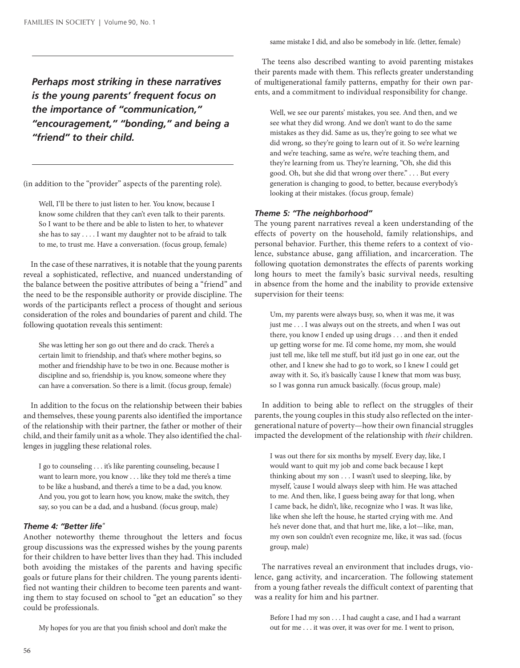*Perhaps most striking in these narratives is the young parents' frequent focus on the importance of "communication," "encouragement," "bonding," and being a "friend" to their child.*

(in addition to the "provider" aspects of the parenting role).

Well, I'll be there to just listen to her. You know, because I know some children that they can't even talk to their parents. So I want to be there and be able to listen to her, to whatever she has to say . . . . I want my daughter not to be afraid to talk to me, to trust me. Have a conversation. (focus group, female)

In the case of these narratives, it is notable that the young parents reveal a sophisticated, reflective, and nuanced understanding of the balance between the positive attributes of being a "friend" and the need to be the responsible authority or provide discipline. The words of the participants reflect a process of thought and serious consideration of the roles and boundaries of parent and child. The following quotation reveals this sentiment:

She was letting her son go out there and do crack. There's a certain limit to friendship, and that's where mother begins, so mother and friendship have to be two in one. Because mother is discipline and so, friendship is, you know, someone where they can have a conversation. So there is a limit. (focus group, female)

In addition to the focus on the relationship between their babies and themselves, these young parents also identified the importance of the relationship with their partner, the father or mother of their child, and their family unit as a whole. They also identified the challenges in juggling these relational roles.

I go to counseling . . . it's like parenting counseling, because I want to learn more, you know . . . like they told me there's a time to be like a husband, and there's a time to be a dad, you know. And you, you got to learn how, you know, make the switch, they say, so you can be a dad, and a husband. (focus group, male)

#### *Theme 4: "Better life*"

Another noteworthy theme throughout the letters and focus group discussions was the expressed wishes by the young parents for their children to have better lives than they had. This included both avoiding the mistakes of the parents and having specific goals or future plans for their children. The young parents identified not wanting their children to become teen parents and wanting them to stay focused on school to "get an education" so they could be professionals.

same mistake I did, and also be somebody in life. (letter, female)

The teens also described wanting to avoid parenting mistakes their parents made with them. This reflects greater understanding of multigenerational family patterns, empathy for their own parents, and a commitment to individual responsibility for change.

Well, we see our parents' mistakes, you see. And then, and we see what they did wrong. And we don't want to do the same mistakes as they did. Same as us, they're going to see what we did wrong, so they're going to learn out of it. So we're learning and we're teaching, same as we're, we're teaching them, and they're learning from us. They're learning, "Oh, she did this good. Oh, but she did that wrong over there." . . . But every generation is changing to good, to better, because everybody's looking at their mistakes. (focus group, female)

#### *Theme 5: "The neighborhood"*

The young parent narratives reveal a keen understanding of the effects of poverty on the household, family relationships, and personal behavior. Further, this theme refers to a context of violence, substance abuse, gang affiliation, and incarceration. The following quotation demonstrates the effects of parents working long hours to meet the family's basic survival needs, resulting in absence from the home and the inability to provide extensive supervision for their teens:

Um, my parents were always busy, so, when it was me, it was just me . . . I was always out on the streets, and when I was out there, you know I ended up using drugs . . . and then it ended up getting worse for me. I'd come home, my mom, she would just tell me, like tell me stuff, but it'd just go in one ear, out the other, and I knew she had to go to work, so I knew I could get away with it. So, it's basically 'cause I knew that mom was busy, so I was gonna run amuck basically. (focus group, male)

In addition to being able to reflect on the struggles of their parents, the young couples in this study also reflected on the intergenerational nature of poverty—how their own financial struggles impacted the development of the relationship with *their* children.

I was out there for six months by myself. Every day, like, I would want to quit my job and come back because I kept thinking about my son . . . I wasn't used to sleeping, like, by myself, 'cause I would always sleep with him. He was attached to me. And then, like, I guess being away for that long, when I came back, he didn't, like, recognize who I was. It was like, like when she left the house, he started crying with me. And he's never done that, and that hurt me, like, a lot—like, man, my own son couldn't even recognize me, like, it was sad. (focus group, male)

The narratives reveal an environment that includes drugs, violence, gang activity, and incarceration. The following statement from a young father reveals the difficult context of parenting that was a reality for him and his partner.

Before I had my son . . . I had caught a case, and I had a warrant out for me . . . it was over, it was over for me. I went to prison,

My hopes for you are that you finish school and don't make the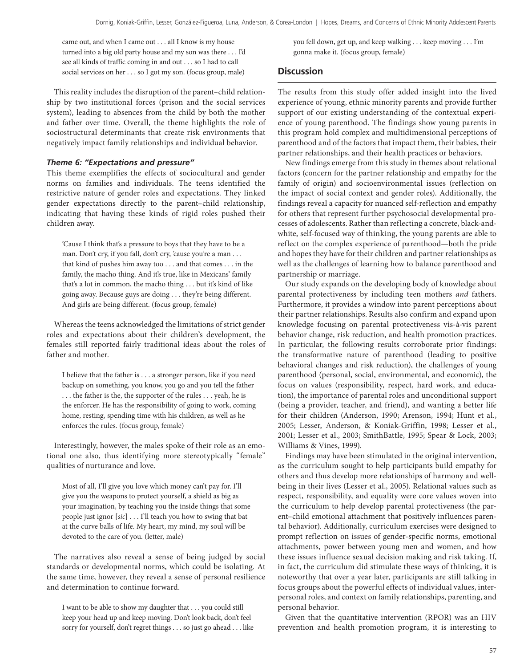came out, and when I came out . . . all I know is my house turned into a big old party house and my son was there . . . I'd see all kinds of traffic coming in and out . . . so I had to call social services on her . . . so I got my son. (focus group, male)

This reality includes the disruption of the parent–child relationship by two institutional forces (prison and the social services system), leading to absences from the child by both the mother and father over time. Overall, the theme highlights the role of sociostructural determinants that create risk environments that negatively impact family relationships and individual behavior.

### *Theme 6: "Expectations and pressure"*

This theme exemplifies the effects of sociocultural and gender norms on families and individuals. The teens identified the restrictive nature of gender roles and expectations. They linked gender expectations directly to the parent–child relationship, indicating that having these kinds of rigid roles pushed their children away.

'Cause I think that's a pressure to boys that they have to be a man. Don't cry, if you fall, don't cry, 'cause you're a man . . . that kind of pushes him away too . . . and that comes . . . in the family, the macho thing. And it's true, like in Mexicans' family that's a lot in common, the macho thing . . . but it's kind of like going away. Because guys are doing . . . they're being different. And girls are being different. (focus group, female)

Whereas the teens acknowledged the limitations of strict gender roles and expectations about their children's development, the females still reported fairly traditional ideas about the roles of father and mother.

I believe that the father is . . . a stronger person, like if you need backup on something, you know, you go and you tell the father . . . the father is the, the supporter of the rules . . . yeah, he is the enforcer. He has the responsibility of going to work, coming home, resting, spending time with his children, as well as he enforces the rules. (focus group, female)

Interestingly, however, the males spoke of their role as an emotional one also, thus identifying more stereotypically "female" qualities of nurturance and love.

Most of all, I'll give you love which money can't pay for. I'll give you the weapons to protect yourself, a shield as big as your imagination, by teaching you the inside things that some people just ignor [*sic*] . . . I'll teach you how to swing that bat at the curve balls of life. My heart, my mind, my soul will be devoted to the care of you. (letter, male)

The narratives also reveal a sense of being judged by social standards or developmental norms, which could be isolating. At the same time, however, they reveal a sense of personal resilience and determination to continue forward.

I want to be able to show my daughter that . . . you could still keep your head up and keep moving. Don't look back, don't feel sorry for yourself, don't regret things . . . so just go ahead . . . like you fell down, get up, and keep walking . . . keep moving . . . I'm gonna make it. (focus group, female)

## **Discussion**

The results from this study offer added insight into the lived experience of young, ethnic minority parents and provide further support of our existing understanding of the contextual experience of young parenthood. The findings show young parents in this program hold complex and multidimensional perceptions of parenthood and of the factors that impact them, their babies, their partner relationships, and their health practices or behaviors.

New findings emerge from this study in themes about relational factors (concern for the partner relationship and empathy for the family of origin) and socioenvironmental issues (reflection on the impact of social context and gender roles). Additionally, the findings reveal a capacity for nuanced self-reflection and empathy for others that represent further psychosocial developmental processes of adolescents. Rather than reflecting a concrete, black-andwhite, self-focused way of thinking, the young parents are able to reflect on the complex experience of parenthood—both the pride and hopes they have for their children and partner relationships as well as the challenges of learning how to balance parenthood and partnership or marriage.

Our study expands on the developing body of knowledge about parental protectiveness by including teen mothers *and* fathers. Furthermore, it provides a window into parent perceptions about their partner relationships. Results also confirm and expand upon knowledge focusing on parental protectiveness vis-à-vis parent behavior change, risk reduction, and health promotion practices. In particular, the following results corroborate prior findings: the transformative nature of parenthood (leading to positive behavioral changes and risk reduction), the challenges of young parenthood (personal, social, environmental, and economic), the focus on values (responsibility, respect, hard work, and education), the importance of parental roles and unconditional support (being a provider, teacher, and friend), and wanting a better life for their children (Anderson, 1990; Arenson, 1994; Hunt et al., 2005; Lesser, Anderson, & Koniak-Griffin, 1998; Lesser et al., 2001; Lesser et al., 2003; SmithBattle, 1995; Spear & Lock, 2003; Williams & Vines, 1999).

Findings may have been stimulated in the original intervention, as the curriculum sought to help participants build empathy for others and thus develop more relationships of harmony and wellbeing in their lives (Lesser et al., 2005). Relational values such as respect, responsibility, and equality were core values woven into the curriculum to help develop parental protectiveness (the parent–child emotional attachment that positively influences parental behavior). Additionally, curriculum exercises were designed to prompt reflection on issues of gender-specific norms, emotional attachments, power between young men and women, and how these issues influence sexual decision making and risk taking. If, in fact, the curriculum did stimulate these ways of thinking, it is noteworthy that over a year later, participants are still talking in focus groups about the powerful effects of individual values, interpersonal roles, and context on family relationships, parenting, and personal behavior.

Given that the quantitative intervention (RPOR) was an HIV prevention and health promotion program, it is interesting to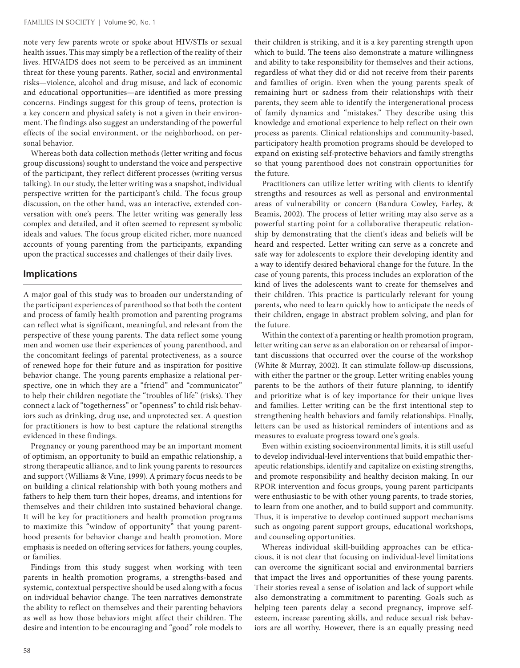note very few parents wrote or spoke about HIV/STIs or sexual health issues. This may simply be a reflection of the reality of their lives. HIV/AIDS does not seem to be perceived as an imminent threat for these young parents. Rather, social and environmental risks—violence, alcohol and drug misuse, and lack of economic and educational opportunities—are identified as more pressing concerns. Findings suggest for this group of teens, protection is a key concern and physical safety is not a given in their environment. The findings also suggest an understanding of the powerful effects of the social environment, or the neighborhood, on personal behavior.

Whereas both data collection methods (letter writing and focus group discussions) sought to understand the voice and perspective of the participant, they reflect different processes (writing versus talking). In our study, the letter writing was a snapshot, individual perspective written for the participant's child. The focus group discussion, on the other hand, was an interactive, extended conversation with one's peers. The letter writing was generally less complex and detailed, and it often seemed to represent symbolic ideals and values. The focus group elicited richer, more nuanced accounts of young parenting from the participants, expanding upon the practical successes and challenges of their daily lives.

#### **Implications**

A major goal of this study was to broaden our understanding of the participant experiences of parenthood so that both the content and process of family health promotion and parenting programs can reflect what is significant, meaningful, and relevant from the perspective of these young parents. The data reflect some young men and women use their experiences of young parenthood, and the concomitant feelings of parental protectiveness, as a source of renewed hope for their future and as inspiration for positive behavior change. The young parents emphasize a relational perspective, one in which they are a "friend" and "communicator" to help their children negotiate the "troubles of life" (risks). They connect a lack of "togetherness" or "openness" to child risk behaviors such as drinking, drug use, and unprotected sex. A question for practitioners is how to best capture the relational strengths evidenced in these findings.

Pregnancy or young parenthood may be an important moment of optimism, an opportunity to build an empathic relationship, a strong therapeutic alliance, and to link young parents to resources and support (Williams & Vine, 1999). A primary focus needs to be on building a clinical relationship with both young mothers and fathers to help them turn their hopes, dreams, and intentions for themselves and their children into sustained behavioral change. It will be key for practitioners and health promotion programs to maximize this "window of opportunity" that young parenthood presents for behavior change and health promotion. More emphasis is needed on offering services for fathers, young couples, or families.

Findings from this study suggest when working with teen parents in health promotion programs, a strengths-based and systemic, contextual perspective should be used along with a focus on individual behavior change. The teen narratives demonstrate the ability to reflect on themselves and their parenting behaviors as well as how those behaviors might affect their children. The desire and intention to be encouraging and "good" role models to

their children is striking, and it is a key parenting strength upon which to build. The teens also demonstrate a mature willingness and ability to take responsibility for themselves and their actions, regardless of what they did or did not receive from their parents and families of origin. Even when the young parents speak of remaining hurt or sadness from their relationships with their parents, they seem able to identify the intergenerational process of family dynamics and "mistakes." They describe using this knowledge and emotional experience to help reflect on their own process as parents. Clinical relationships and community-based, participatory health promotion programs should be developed to expand on existing self-protective behaviors and family strengths so that young parenthood does not constrain opportunities for the future.

Practitioners can utilize letter writing with clients to identify strengths and resources as well as personal and environmental areas of vulnerability or concern (Bandura Cowley, Farley, & Beamis, 2002). The process of letter writing may also serve as a powerful starting point for a collaborative therapeutic relationship by demonstrating that the client's ideas and beliefs will be heard and respected. Letter writing can serve as a concrete and safe way for adolescents to explore their developing identity and a way to identify desired behavioral change for the future. In the case of young parents, this process includes an exploration of the kind of lives the adolescents want to create for themselves and their children. This practice is particularly relevant for young parents, who need to learn quickly how to anticipate the needs of their children, engage in abstract problem solving, and plan for the future.

Within the context of a parenting or health promotion program, letter writing can serve as an elaboration on or rehearsal of important discussions that occurred over the course of the workshop (White & Murray, 2002). It can stimulate follow-up discussions, with either the partner or the group. Letter writing enables young parents to be the authors of their future planning, to identify and prioritize what is of key importance for their unique lives and families. Letter writing can be the first intentional step to strengthening health behaviors and family relationships. Finally, letters can be used as historical reminders of intentions and as measures to evaluate progress toward one's goals.

Even within existing socioenvironmental limits, it is still useful to develop individual-level interventions that build empathic therapeutic relationships, identify and capitalize on existing strengths, and promote responsibility and healthy decision making. In our RPOR intervention and focus groups, young parent participants were enthusiastic to be with other young parents, to trade stories, to learn from one another, and to build support and community. Thus, it is imperative to develop continued support mechanisms such as ongoing parent support groups, educational workshops, and counseling opportunities.

Whereas individual skill-building approaches can be efficacious, it is not clear that focusing on individual-level limitations can overcome the significant social and environmental barriers that impact the lives and opportunities of these young parents. Their stories reveal a sense of isolation and lack of support while also demonstrating a commitment to parenting. Goals such as helping teen parents delay a second pregnancy, improve selfesteem, increase parenting skills, and reduce sexual risk behaviors are all worthy. However, there is an equally pressing need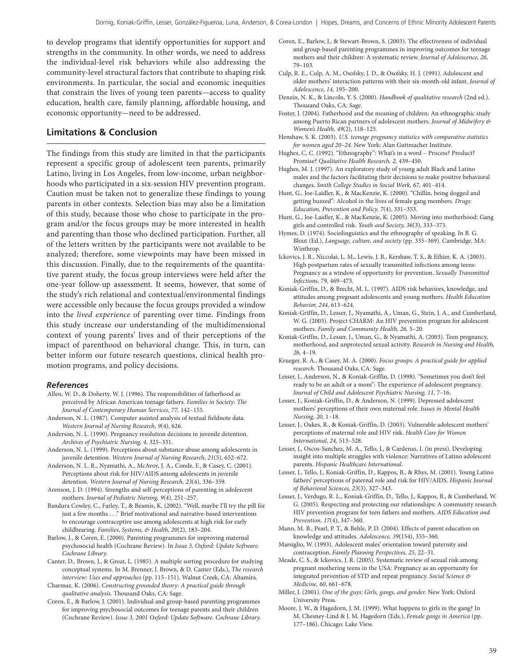to develop programs that identify opportunities for support and strengths in the community. In other words, we need to address the individual-level risk behaviors while also addressing the community-level structural factors that contribute to shaping risk environments. In particular, the social and economic inequities that constrain the lives of young teen parents—access to quality education, health care, family planning, affordable housing, and economic opportunity—need to be addressed.

## **Limitations & Conclusion**

The findings from this study are limited in that the participants represent a specific group of adolescent teen parents, primarily Latino, living in Los Angeles, from low-income, urban neighborhoods who participated in a six-session HIV prevention program. Caution must be taken not to generalize these findings to young parents in other contexts. Selection bias may also be a limitation of this study, because those who chose to participate in the program and/or the focus groups may be more interested in health and parenting than those who declined participation. Further, all of the letters written by the participants were not available to be analyzed; therefore, some viewpoints may have been missed in this discussion. Finally, due to the requirements of the quantitative parent study, the focus group interviews were held after the one-year follow-up assessment. It seems, however, that some of the study's rich relational and contextual/environmental findings were accessible only because the focus groups provided a window into the *lived experience* of parenting over time. Findings from this study increase our understanding of the multidimensional context of young parents' lives and of their perceptions of the impact of parenthood on behavioral change. This, in turn, can better inform our future research questions, clinical health promotion programs, and policy decisions.

#### *References*

- Allen, W. D., & Doherty, W. J. (1996). The responsibilities of fatherhood as perceived by African American teenage fathers. *Families in Society: The Journal of Contemporary Human Services, 77,* 142–155.
- Anderson, N. L. (1987). Computer assisted analysis of textual fieldnote data. *Western Journal of Nursing Research, 9*(4), 626.
- Anderson, N. L. (1990). Pregnancy resolution decisions in juvenile detention. *Archives of Psychiatric Nursing, 4*, 325–331.
- Anderson, N. L. (1999). Perceptions about substance abuse among adolescents in juvenile detention. *Western Journal of Nursing Research, 21*(5), 652–672.
- Anderson, N. L. R., Nyamathi, A., McAvoy, J. A., Conde, F., & Casey, C. (2001). Perceptions about risk for HIV/AIDS among adolescents in juvenile detention. *Western Journal of Nursing Research, 23*(4), 336–359.
- Arenson, J. D. (1994). Strengths and self-perceptions of parenting in adolescent mothers. *Journal of Pediatric Nursing, 9*(4), 251–257.
- Bandura Cowley, C., Farley, T., & Beamis, K. (2002). "Well, maybe I'll try the pill for just a few months . . . " Brief motivational and narrative-based interventions to encourage contraceptive use among adolescents at high risk for early childbearing. *Families, Systems, & Health, 20*(2), 183–204.
- Barlow, J., & Coren, E. (2000). Parenting programmes for improving maternal psychosocial health (Cochrane Review). In *Issue 3, Oxford: Update Software. Cochrane Library.*
- Canter, D., Brown, J., & Groat, L. (1985). A multiple sorting procedure for studying conceptual systems. In M. Brenner, J. Brown, & D. Canter (Eds.), *The research interview: Uses and approaches* (pp. 115–151). Walnut Creek, CA: Altamira.
- Charmaz, K. (2006). *Constructing grounded theory: A practical guide through qualitative analysis.* Thousand Oaks, CA: Sage.
- Coren, E., & Barlow, J. (2001). Individual and group-based parenting programmes for improving psychosocial outcomes for teenage parents and their children (Cochrane Review). *Issue 3, 2001 Oxford: Update Software. Cochrane Library.*
- Coren, E., Barlow, J., & Stewart-Brown, S. (2003). The effectiveness of individual and group-based parenting programmes in improving outcomes for teenage mothers and their children: A systematic review. *Journal of Adolescence, 26,* 79–103.
- Culp, R. E., Culp, A. M., Osofsky, J. D., & Osofsky, H. J. (1991). Adolescent and older mothers' interaction patterns with their six-month-old infant. *Journal of Adolescence, 14,* 195–200.
- Denzin, N. K., & Lincoln, Y. S. (2000). *Handbook of qualitative research* (2nd ed.). Thousand Oaks, CA: Sage.
- Foster, J. (2004). Fatherhood and the meaning of children: An ethnographic study among Puerto Rican partners of adolescent mothers. *Journal of Midwifery & Women's Health, 49*(2), 118–125.
- Henshaw, S. K. (2003). *U.S. teenage pregnancy statistics with comparative statistics for women aged 20–24.* New York: Alan Guttmacher Institute.
- Hughes, C. C. (1992). "Ethnography": What's in a word Process? Product? Promise? *Qualitative Health Research, 2,* 439–450.
- Hughes, M. J. (1997). An exploratory study of young adult Black and Latino males and the factors facilitating their decisions to make positive behavioral changes. *Smith College Studies in Social Work, 67,* 401–414.
- Hunt, G., Joe-Laidler, K., & MacKenzie, K. (2000). "Chillin, being dogged and getting buzzed": Alcohol in the lives of female gang members. *Drugs: Education, Prevention and Policy, 7*(4), 331–353.
- Hunt, G., Joe-Laidler, K., & MacKenzie, K. (2005). Moving into motherhood: Gang girls and controlled risk. *Youth and Society, 36*(3), 333–373.
- Hymes, D. (1974). Sociolinguistics and the ethnography of speaking. In B. G. Blout (Ed.), *Language, culture, and society* (pp. 335–369). Cambridge, MA: Winthrop.
- Ickovics, J. R., Niccolai, L. M., Lewis, J. B., Kershaw, T. S., & Ethier, K. A. (2003). High postpartum rates of sexually transmitted infections among teens: Pregnancy as a window of opportunity for prevention. *Sexually Transmitted Infections, 79,* 469–473.
- Koniak-Griffin, D., & Brecht, M. L. (1997). AIDS risk behaviors, knowledge, and attitudes among pregnant adolescents and young mothers. *Health Education Behavior, 244,* 613–624.
- Koniak-Griffin, D., Lesser, J., Nyamathi, A., Uman, G., Stein, J. A., and Cumberland, W. G. (2003). Project CHARM: An HIV prevention program for adolescent mothers. *Family and Community Health, 26,* 5–20.
- Koniak-Griffin, D., Lesser, J., Uman, G., & Nyamathi, A. (2003). Teen pregnancy, motherhood, and unprotected sexual activity. *Research in Nursing and Health, 26,* 4–19.
- Krueger, R. A., & Casey, M. A. (2000). *Focus groups: A practical guide for applied research*. Thousand Oaks, CA: Sage.
- Lesser, J., Anderson, N., & Koniak-Griffin, D. (1998). "Sometimes you don't feel ready to be an adult or a mom": The experience of adolescent pregnancy. *Journal of Child and Adolescent Psychiatric Nursing, 11,* 7–16.
- Lesser, J., Koniak-Griffin, D., & Anderson, N. (1999). Depressed adolescent mothers' perceptions of their own maternal role. *Issues in Mental Health Nursing, 20,* 1–18.
- Lesser, J., Oakes, R., & Koniak-Griffin, D. (2003). Vulnerable adolescent mothers' perceptions of maternal role and HIV risk. *Health Care for Women International*, *24,* 513–528.
- Lesser, J., Oscos-Sanchez, M. A., Tello, J., & Cardenas, I. (in press). Developing insight into multiple struggles with violence: Narratives of Latino adolescent parents. *Hispanic Healthcare International*.
- Lesser, J., Tello, J., Koniak-Griffin, D., Kappos, B., & Rhys, M. (2001). Young Latino fathers' perceptions of paternal role and risk for HIV/AIDS. *Hispanic Journal of Behavioral Sciences, 23*(3), 327–343.
- Lesser, J., Verdugo, R. L., Koniak-Griffin, D., Tello, J., Kappos, B., & Cumberland, W. G. (2005). Respecting and protecting our relationships: A community research HIV prevention program for teen fathers and mothers. *AIDS Education and Prevention, 17*(4), 347–360.
- Mann, M. B., Pearl, P. T., & Behle, P. D. (2004). Effects of parent education on knowledge and attitudes. *Adolescence, 39*(154), 355–360.
- Marsiglio, W. (1993). Adolescent males' orientation toward paternity and contraception. *Family Planning Perspectives, 25*, 22–31.
- Meade, C. S., & Ickovics, J. R. (2005). Systematic review of sexual risk among pregnant mothering teens in the USA: Pregnancy as an opportunity for integrated prevention of STD and repeat pregnancy. *Social Science & Medicine, 60,* 661–678.
- Miller, J. (2001). *One of the guys: Girls, gangs, and gender.* New York: Oxford University Press.
- Moore, J. W., & Hagedorn, J. M. (1999). What happens to girls in the gang? In M. Chesney-Lind & J. M. Hagedorn (Eds.), *Female gangs in America* (pp. 177–186). Chicago: Lake View.